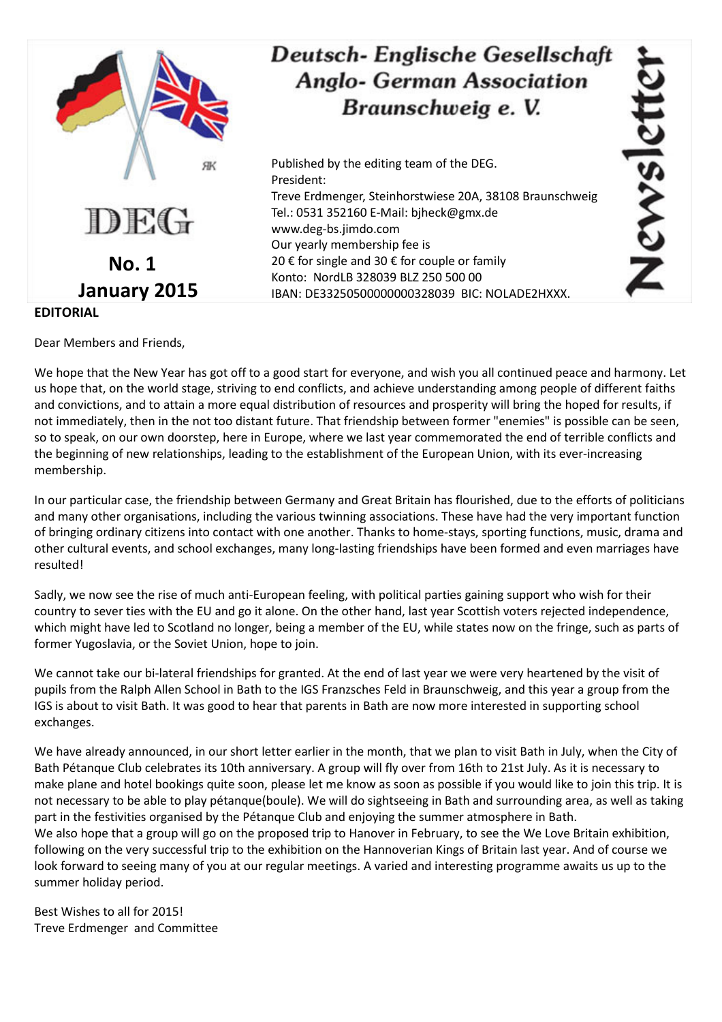

## Deutsch-Englische Gesellschaft **Anglo- German Association** Braunschweig e. V.

Published by the editing team of the DEG. President: Treve Erdmenger, Steinhorstwiese 20A, 38108 Braunschweig Tel.: 0531 352160 E-Mail: bjheck@gmx.de www.deg-bs.jimdo.com Our yearly membership fee is 20 € for single and 30 € for couple or family Konto: NordLB 328039 BLZ 250 500 00 IBAN: DE33250500000000328039 BIC: NOLADE2HXXX.

ISNSIGI

**EDITORIAL** 

Dear Members and Friends,

We hope that the New Year has got off to a good start for everyone, and wish you all continued peace and harmony. Let us hope that, on the world stage, striving to end conflicts, and achieve understanding among people of different faiths and convictions, and to attain a more equal distribution of resources and prosperity will bring the hoped for results, if not immediately, then in the not too distant future. That friendship between former "enemies" is possible can be seen, so to speak, on our own doorstep, here in Europe, where we last year commemorated the end of terrible conflicts and the beginning of new relationships, leading to the establishment of the European Union, with its ever-increasing membership.

In our particular case, the friendship between Germany and Great Britain has flourished, due to the efforts of politicians and many other organisations, including the various twinning associations. These have had the very important function of bringing ordinary citizens into contact with one another. Thanks to home-stays, sporting functions, music, drama and other cultural events, and school exchanges, many long-lasting friendships have been formed and even marriages have resulted!

Sadly, we now see the rise of much anti-European feeling, with political parties gaining support who wish for their country to sever ties with the EU and go it alone. On the other hand, last year Scottish voters rejected independence, which might have led to Scotland no longer, being a member of the EU, while states now on the fringe, such as parts of former Yugoslavia, or the Soviet Union, hope to join.

We cannot take our bi-lateral friendships for granted. At the end of last year we were very heartened by the visit of pupils from the Ralph Allen School in Bath to the IGS Franzsches Feld in Braunschweig, and this year a group from the IGS is about to visit Bath. It was good to hear that parents in Bath are now more interested in supporting school exchanges.

We have already announced, in our short letter earlier in the month, that we plan to visit Bath in July, when the City of Bath Pétanque Club celebrates its 10th anniversary. A group will fly over from 16th to 21st July. As it is necessary to make plane and hotel bookings quite soon, please let me know as soon as possible if you would like to join this trip. It is not necessary to be able to play pétanque(boule). We will do sightseeing in Bath and surrounding area, as well as taking part in the festivities organised by the Pétanque Club and enjoying the summer atmosphere in Bath. We also hope that a group will go on the proposed trip to Hanover in February, to see the We Love Britain exhibition, following on the very successful trip to the exhibition on the Hannoverian Kings of Britain last year. And of course we look forward to seeing many of you at our regular meetings. A varied and interesting programme awaits us up to the summer holiday period.

Best Wishes to all for 2015! Treve Erdmenger and Committee